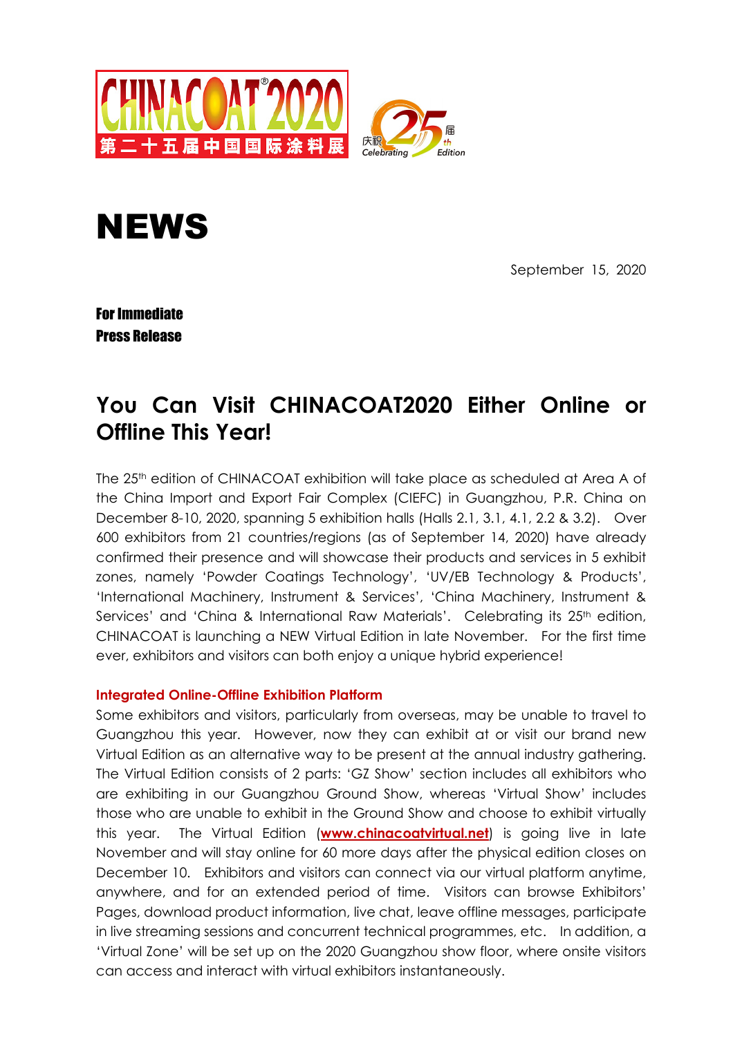



September 15, 2020

For Immediate Press Release

# **You Can Visit CHINACOAT2020 Either Online or Offline This Year!**

The 25<sup>th</sup> edition of CHINACOAT exhibition will take place as scheduled at Area A of the China Import and Export Fair Complex (CIEFC) in Guangzhou, P.R. China on December 8-10, 2020, spanning 5 exhibition halls (Halls 2.1, 3.1, 4.1, 2.2 & 3.2). Over 600 exhibitors from 21 countries/regions (as of September 14, 2020) have already confirmed their presence and will showcase their products and services in 5 exhibit zones, namely 'Powder Coatings Technology', 'UV/EB Technology & Products', 'International Machinery, Instrument & Services', 'China Machinery, Instrument & Services' and 'China & International Raw Materials'. Celebrating its 25<sup>th</sup> edition, CHINACOAT is launching a NEW Virtual Edition in late November. For the first time ever, exhibitors and visitors can both enjoy a unique hybrid experience!

## **Integrated Online-Offline Exhibition Platform**

Some exhibitors and visitors, particularly from overseas, may be unable to travel to Guangzhou this year. However, now they can exhibit at or visit our brand new Virtual Edition as an alternative way to be present at the annual industry gathering. The Virtual Edition consists of 2 parts: 'GZ Show' section includes all exhibitors who are exhibiting in our Guangzhou Ground Show, whereas 'Virtual Show' includes those who are unable to exhibit in the Ground Show and choose to exhibit virtually this year. The Virtual Edition (**www.chinacoatvirtual.net**) is going live in late November and will stay online for 60 more days after the physical edition closes on December 10. Exhibitors and visitors can connect via our virtual platform anytime, anywhere, and for an extended period of time. Visitors can browse Exhibitors' Pages, download product information, live chat, leave offline messages, participate in live streaming sessions and concurrent technical programmes, etc. In addition, a 'Virtual Zone' will be set up on the 2020 Guangzhou show floor, where onsite visitors can access and interact with virtual exhibitors instantaneously.